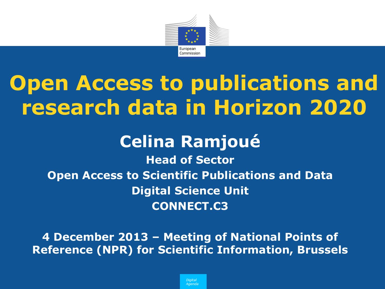

# **Open Access to publications and research data in Horizon 2020**

### **Celina Ramjoué**

**Head of Sector Open Access to Scientific Publications and Data Digital Science Unit CONNECT.C3**

**4 December 2013 – Meeting of National Points of Reference (NPR) for Scientific Information, Brussels**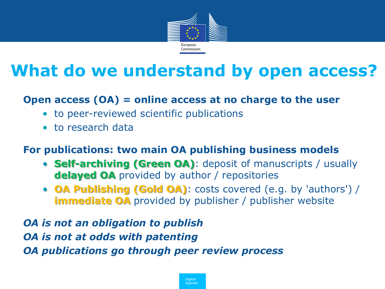

### **What do we understand by open access?**

#### **Open access (OA) = online access at no charge to the user**

- to peer-reviewed scientific publications
- to research data

#### **For publications: two main OA publishing business models**

- **Self-archiving (Green OA)**: deposit of manuscripts / usually **delayed OA** provided by author / repositories
- **OA Publishing (Gold OA)**: costs covered (e.g. by 'authors') / **immediate OA** provided by publisher / publisher website

*OA is not an obligation to publish*

*OA is not at odds with patenting*

*OA publications go through peer review process*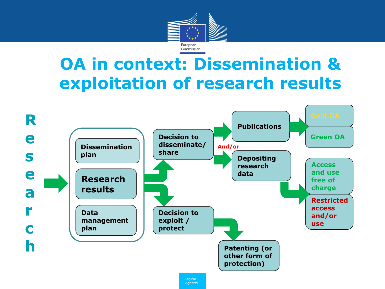

### **OA in context: Dissemination & exploitation of research results**

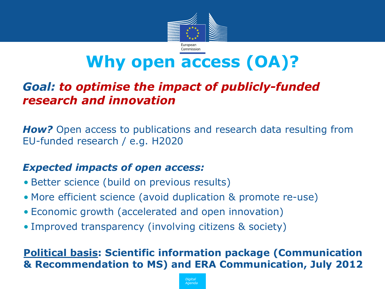

### **Why open access (OA)?**

#### • *Goal: to optimise the impact of publicly-funded research and innovation*

**How?** Open access to publications and research data resulting from EU-funded research / e.g. H2020

#### • *Expected impacts of open access:*

- Better science (build on previous results)
- More efficient science (avoid duplication & promote re-use)
- Economic growth (accelerated and open innovation)
- Improved transparency (involving citizens & society)

#### **Political basis: Scientific information package (Communication & Recommendation to MS) and ERA Communication, July 2012**

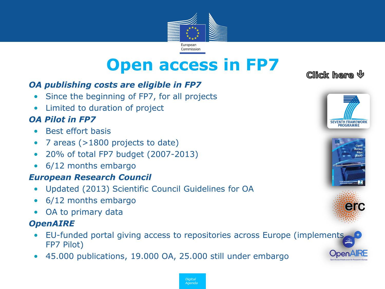

### **Open access in FP7**

#### • *OA publishing costs are eligible in FP7*

- Since the beginning of FP7, for all projects
- Limited to duration of project

#### • *OA Pilot in FP7*

- Best effort basis
- 7 areas (>1800 projects to date)
- 20% of total FP7 budget (2007-2013)
- 6/12 months embargo

#### • *European Research Council*

- Updated (2013) Scientific Council Guidelines for OA
- 6/12 months embargo
- OA to primary data

#### • *OpenAIRE*

- EU-funded portal giving access to repositories across Europe (impl[ements](http://erc.europa.eu/sites/default/files/document/file/open_access_policy_researchers_funded_ERC.pdf)  FP7 Pilot)
- 45.000 publications, 19.000 OA, 25.000 still under embargo

#### Click here  $\psi$







**UpenA** 

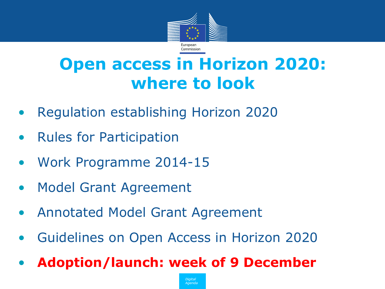

### **Open access in Horizon 2020: where to look**

- Regulation establishing Horizon 2020
- Rules for Participation
- Work Programme 2014-15
- Model Grant Agreement
- Annotated Model Grant Agreement
- Guidelines on Open Access in Horizon 2020
- **Adoption/launch: week of 9 December**

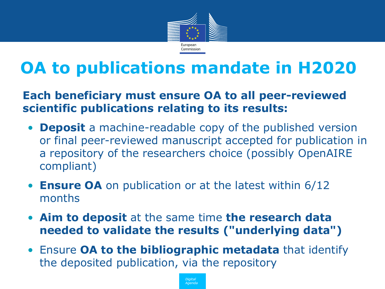

### **OA to publications mandate in H2020**

#### • **Each beneficiary must ensure OA to all peer-reviewed scientific publications relating to its results:**

- **Deposit** a machine-readable copy of the published version or final peer-reviewed manuscript accepted for publication in a repository of the researchers choice (possibly OpenAIRE compliant)
- **Ensure OA** on publication or at the latest within 6/12 months
- **Aim to deposit** at the same time **the research data needed to validate the results ("underlying data")**
- Ensure **OA to the bibliographic metadata** that identify the deposited publication, via the repository

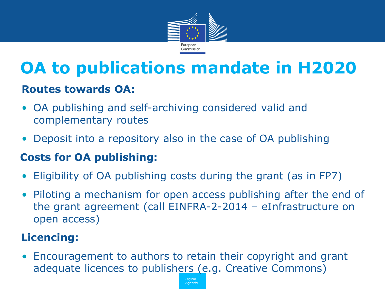

## **OA to publications mandate in H2020**

#### **Routes towards OA:**

- OA publishing and self-archiving considered valid and complementary routes
- Deposit into a repository also in the case of OA publishing

#### • **Costs for OA publishing:**

- Eligibility of OA publishing costs during the grant (as in FP7)
- Piloting a mechanism for open access publishing after the end of the grant agreement (call EINFRA-2-2014 – eInfrastructure on open access)

#### • **Licencing:**

• Encouragement to authors to retain their copyright and grant adequate licences to publishers (e.g. Creative Commons)

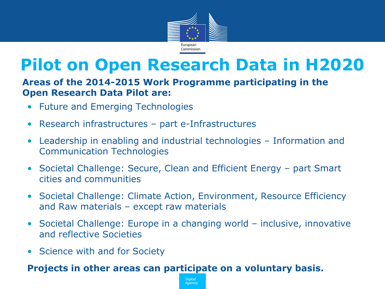

### **Pilot on Open Research Data in H2020**

#### • **Areas of the 2014-2015 Work Programme participating in the Open Research Data Pilot are:**

- Future and Emerging Technologies
- Research infrastructures part e-Infrastructures
- Leadership in enabling and industrial technologies Information and Communication Technologies
- Societal Challenge: Secure, Clean and Efficient Energy part Smart cities and communities
- Societal Challenge: Climate Action, Environment, Resource Efficiency and Raw materials – except raw materials
- Societal Challenge: Europe in a changing world inclusive, innovative and reflective Societies
- Science with and for Society

#### **Projects in other areas can participate on a voluntary basis.**

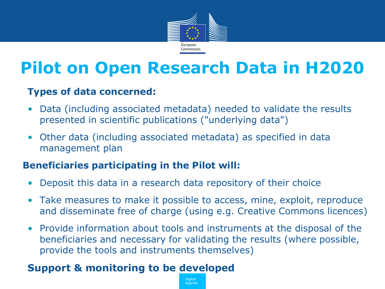

### **Pilot on Open Research Data in H2020**

#### **Types of data concerned:**

- Data (including associated metadata) needed to validate the results presented in scientific publications ("underlying data")
- Other data (including associated metadata) as specified in data management plan

#### • **Beneficiaries participating in the Pilot will:**

- Deposit this data in a research data repository of their choice
- Take measures to make it possible to access, mine, exploit, reproduce and disseminate free of charge (using e.g. Creative Commons licences)
- Provide information about tools and instruments at the disposal of the beneficiaries and necessary for validating the results (where possible, provide the tools and instruments themselves)

Agenda

#### **Support & monitoring to be developed**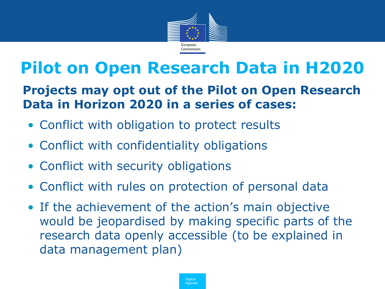

### **Pilot on Open Research Data in H2020**

#### • **Projects may opt out of the Pilot on Open Research Data in Horizon 2020 in a series of cases:**

- Conflict with obligation to protect results
- Conflict with confidentiality obligations
- Conflict with security obligations
- Conflict with rules on protection of personal data
- If the achievement of the action's main objective would be jeopardised by making specific parts of the research data openly accessible (to be explained in data management plan)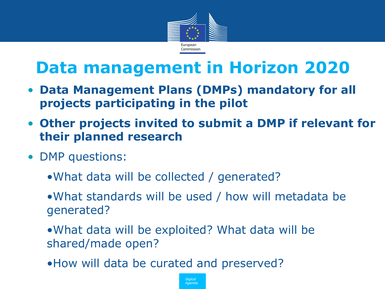

### **Data management in Horizon 2020**

- **Data Management Plans (DMPs) mandatory for all projects participating in the pilot**
- **Other projects invited to submit a DMP if relevant for their planned research**
- DMP questions:
	- •What data will be collected / generated?
	- •What standards will be used / how will metadata be generated?
	- •What data will be exploited? What data will be shared/made open?
	- •How will data be curated and preserved?

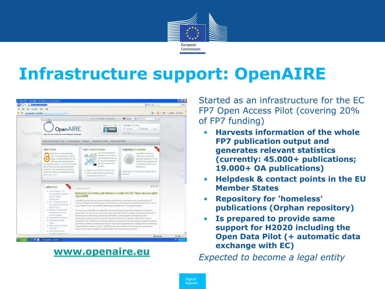

### **Infrastructure support: OpenAIRE**



• Started as an infrastructure for the EC FP7 Open Access Pilot (covering 20% of FP7 funding)

- **Harvests information of the whole FP7 publication output and generates relevant statistics (currently: 45.000+ publications; 19.000+ OA publications)**
- **Helpdesk & contact points in the EU Member States**
- **Repository for 'homeless' publications (Orphan repository)**
- **Is prepared to provide same support for H2020 including the Open Data Pilot (+ automatic data exchange with EC)**

• *Expected to become a legal entity* **[www.openaire.eu](http://www.openaire.eu/)**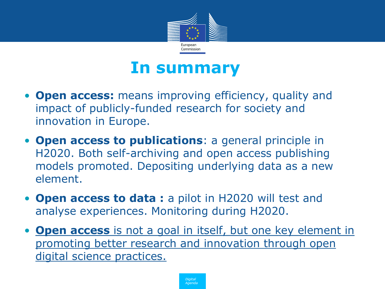

### **In summary**

- **Open access:** means improving efficiency, quality and impact of publicly-funded research for society and innovation in Europe.
- **Open access to publications**: a general principle in H2020. Both self-archiving and open access publishing models promoted. Depositing underlying data as a new element.
- **Open access to data :** a pilot in H2020 will test and analyse experiences. Monitoring during H2020.
- **Open access** is not a goal in itself, but one key element in promoting better research and innovation through open digital science practices.